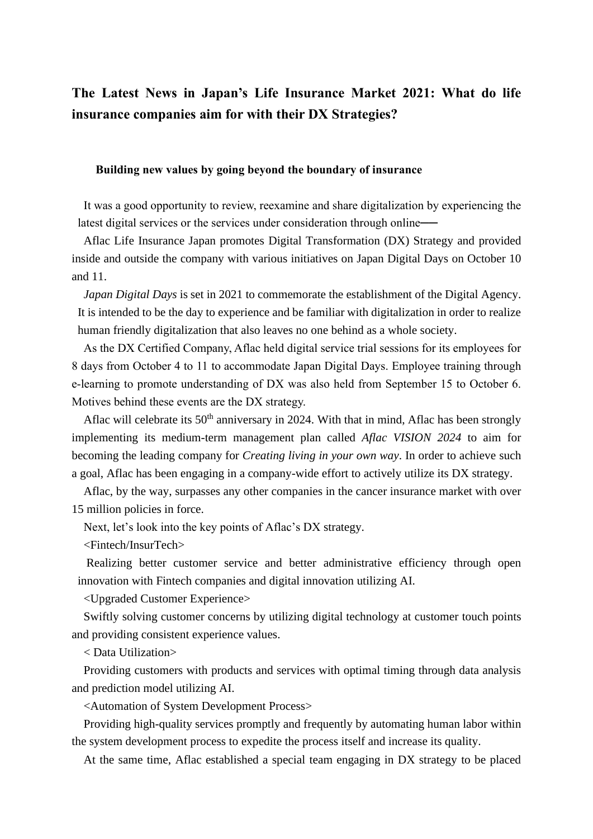# **The Latest News in Japan's Life Insurance Market 2021: What do life insurance companies aim for with their DX Strategies?**

## **Building new values by going beyond the boundary of insurance**

It was a good opportunity to review, reexamine and share digitalization by experiencing the latest digital services or the services under consideration through online —

Aflac Life Insurance Japan promotes Digital Transformation (DX) Strategy and provided inside and outside the company with various initiatives on Japan Digital Days on October 10 and 11.

*Japan Digital Days* is set in 2021 to commemorate the establishment of the Digital Agency. It is intended to be the day to experience and be familiar with digitalization in order to realize human friendly digitalization that also leaves no one behind as a whole society.

As the DX Certified Company, Aflac held digital service trial sessions for its employees for 8 days from October 4 to 11 to accommodate Japan Digital Days. Employee training through e-learning to promote understanding of DX was also held from September 15 to October 6. Motives behind these events are the DX strategy.

Aflac will celebrate its  $50<sup>th</sup>$  anniversary in 2024. With that in mind, Aflac has been strongly implementing its medium-term management plan called *Aflac VISION 2024* to aim for becoming the leading company for *Creating living in your own way*. In order to achieve such a goal, Aflac has been engaging in a company-wide effort to actively utilize its DX strategy.

Aflac, by the way, surpasses any other companies in the cancer insurance market with over 15 million policies in force.

Next, let's look into the key points of Aflac's DX strategy.

<Fintech/InsurTech>

Realizing better customer service and better administrative efficiency through open innovation with Fintech companies and digital innovation utilizing AI.

<Upgraded Customer Experience>

Swiftly solving customer concerns by utilizing digital technology at customer touch points and providing consistent experience values.

< Data Utilization>

Providing customers with products and services with optimal timing through data analysis and prediction model utilizing AI.

<Automation of System Development Process>

Providing high-quality services promptly and frequently by automating human labor within the system development process to expedite the process itself and increase its quality.

At the same time, Aflac established a special team engaging in DX strategy to be placed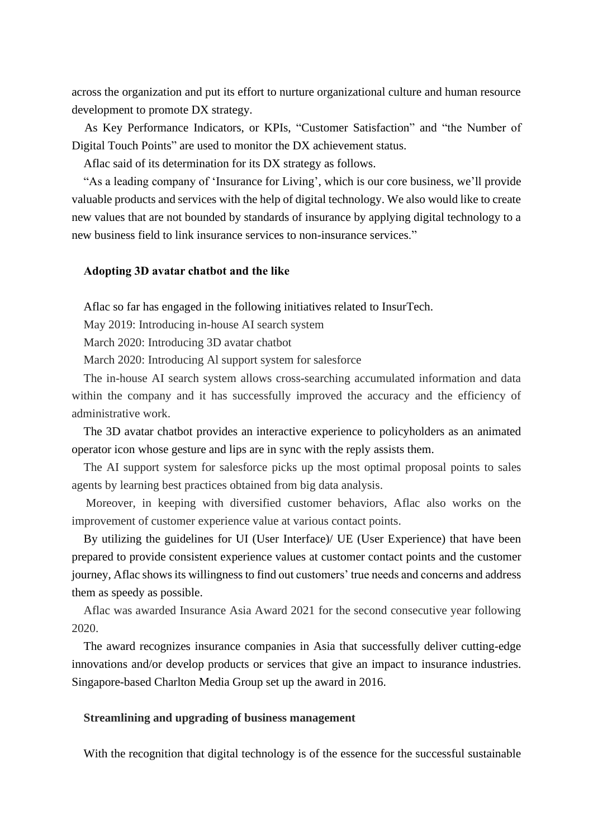across the organization and put its effort to nurture organizational culture and human resource development to promote DX strategy.

As Key Performance Indicators, or KPIs, "Customer Satisfaction" and "the Number of Digital Touch Points" are used to monitor the DX achievement status.

Aflac said of its determination for its DX strategy as follows.

"As a leading company of 'Insurance for Living', which is our core business, we'll provide valuable products and services with the help of digital technology. We also would like to create new values that are not bounded by standards of insurance by applying digital technology to a new business field to link insurance services to non-insurance services."

#### **Adopting 3D avatar chatbot and the like**

Aflac so far has engaged in the following initiatives related to InsurTech.

May 2019: Introducing in-house AI search system

March 2020: Introducing 3D avatar chatbot

March 2020: Introducing Al support system for salesforce

The in-house AI search system allows cross-searching accumulated information and data within the company and it has successfully improved the accuracy and the efficiency of administrative work.

The 3D avatar chatbot provides an interactive experience to policyholders as an animated operator icon whose gesture and lips are in sync with the reply assists them.

The AI support system for salesforce picks up the most optimal proposal points to sales agents by learning best practices obtained from big data analysis.

Moreover, in keeping with diversified customer behaviors, Aflac also works on the improvement of customer experience value at various contact points.

By utilizing the guidelines for UI (User Interface)/ UE (User Experience) that have been prepared to provide consistent experience values at customer contact points and the customer journey, Aflac shows its willingness to find out customers' true needs and concerns and address them as speedy as possible.

Aflac was awarded Insurance Asia Award 2021 for the second consecutive year following 2020.

The award recognizes insurance companies in Asia that successfully deliver cutting-edge innovations and/or develop products or services that give an impact to insurance industries. Singapore-based Charlton Media Group set up the award in 2016.

#### **Streamlining and upgrading of business management**

With the recognition that digital technology is of the essence for the successful sustainable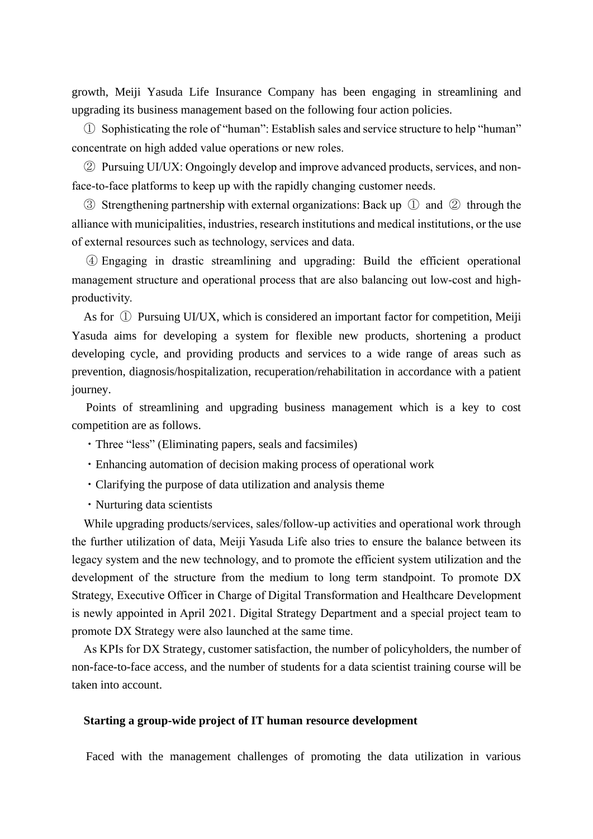growth, Meiji Yasuda Life Insurance Company has been engaging in streamlining and upgrading its business management based on the following four action policies.

① Sophisticating the role of "human": Establish sales and service structure to help "human" concentrate on high added value operations or new roles.

② Pursuing UI/UX: Ongoingly develop and improve advanced products, services, and nonface-to-face platforms to keep up with the rapidly changing customer needs.

③ Strengthening partnership with external organizations: Back up ① and ② through the alliance with municipalities, industries, research institutions and medical institutions, or the use of external resources such as technology, services and data.

④ Engaging in drastic streamlining and upgrading: Build the efficient operational management structure and operational process that are also balancing out low-cost and highproductivity.

As for ① Pursuing UI/UX, which is considered an important factor for competition, Meiji Yasuda aims for developing a system for flexible new products, shortening a product developing cycle, and providing products and services to a wide range of areas such as prevention, diagnosis/hospitalization, recuperation/rehabilitation in accordance with a patient journey.

Points of streamlining and upgrading business management which is a key to cost competition are as follows.

- ・Three "less" (Eliminating papers, seals and facsimiles)
- ・Enhancing automation of decision making process of operational work
- ・Clarifying the purpose of data utilization and analysis theme
- ・Nurturing data scientists

While upgrading products/services, sales/follow-up activities and operational work through the further utilization of data, Meiji Yasuda Life also tries to ensure the balance between its legacy system and the new technology, and to promote the efficient system utilization and the development of the structure from the medium to long term standpoint. To promote DX Strategy, Executive Officer in Charge of Digital Transformation and Healthcare Development is newly appointed in April 2021. Digital Strategy Department and a special project team to promote DX Strategy were also launched at the same time.

As KPIs for DX Strategy, customer satisfaction, the number of policyholders, the number of non-face-to-face access, and the number of students for a data scientist training course will be taken into account.

#### **Starting a group-wide project of IT human resource development**

Faced with the management challenges of promoting the data utilization in various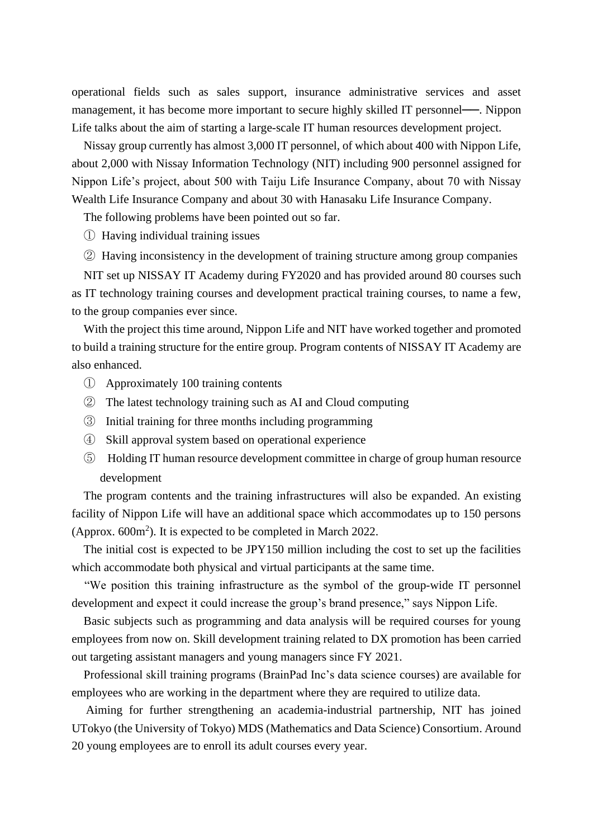operational fields such as sales support, insurance administrative services and asset management, it has become more important to secure highly skilled IT personnel——. Nippon Life talks about the aim of starting a large-scale IT human resources development project.

Nissay group currently has almost 3,000 IT personnel, of which about 400 with Nippon Life, about 2,000 with Nissay Information Technology (NIT) including 900 personnel assigned for Nippon Life's project, about 500 with Taiju Life Insurance Company, about 70 with Nissay Wealth Life Insurance Company and about 30 with Hanasaku Life Insurance Company.

The following problems have been pointed out so far.

① Having individual training issues

② Having inconsistency in the development of training structure among group companies

NIT set up NISSAY IT Academy during FY2020 and has provided around 80 courses such as IT technology training courses and development practical training courses, to name a few, to the group companies ever since.

With the project this time around, Nippon Life and NIT have worked together and promoted to build a training structure for the entire group. Program contents of NISSAY IT Academy are also enhanced.

- ① Approximately 100 training contents
- ② The latest technology training such as AI and Cloud computing
- ③ Initial training for three months including programming
- ④ Skill approval system based on operational experience
- ⑤ Holding IT human resource development committee in charge of group human resource development

The program contents and the training infrastructures will also be expanded. An existing facility of Nippon Life will have an additional space which accommodates up to 150 persons (Approx.  $600m^2$ ). It is expected to be completed in March 2022.

The initial cost is expected to be JPY150 million including the cost to set up the facilities which accommodate both physical and virtual participants at the same time.

"We position this training infrastructure as the symbol of the group-wide IT personnel development and expect it could increase the group's brand presence," says Nippon Life.

Basic subjects such as programming and data analysis will be required courses for young employees from now on. Skill development training related to DX promotion has been carried out targeting assistant managers and young managers since FY 2021.

Professional skill training programs (BrainPad Inc's data science courses) are available for employees who are working in the department where they are required to utilize data.

Aiming for further strengthening an academia-industrial partnership, NIT has joined UTokyo (the University of Tokyo) MDS (Mathematics and Data Science) Consortium. Around 20 young employees are to enroll its adult courses every year.